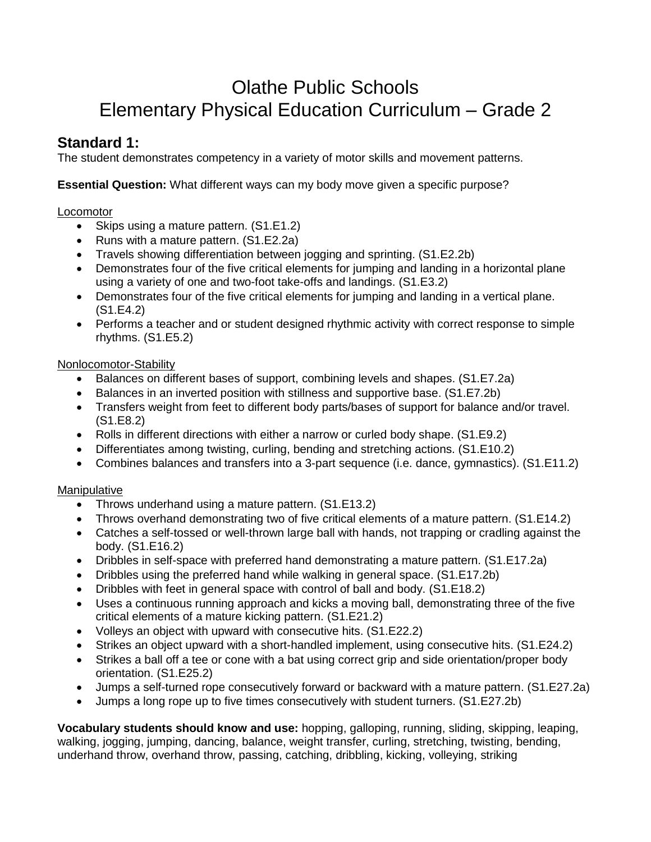# Olathe Public Schools Elementary Physical Education Curriculum – Grade 2

# **Standard 1:**

The student demonstrates competency in a variety of motor skills and movement patterns.

**Essential Question:** What different ways can my body move given a specific purpose?

#### **Locomotor**

- Skips using a mature pattern. (S1.E1.2)
- Runs with a mature pattern. (S1.E2.2a)
- Travels showing differentiation between jogging and sprinting. (S1.E2.2b)
- Demonstrates four of the five critical elements for jumping and landing in a horizontal plane using a variety of one and two-foot take-offs and landings. (S1.E3.2)
- Demonstrates four of the five critical elements for jumping and landing in a vertical plane. (S1.E4.2)
- Performs a teacher and or student designed rhythmic activity with correct response to simple rhythms. (S1.E5.2)

#### Nonlocomotor-Stability

- Balances on different bases of support, combining levels and shapes. (S1.E7.2a)
- Balances in an inverted position with stillness and supportive base. (S1.E7.2b)
- Transfers weight from feet to different body parts/bases of support for balance and/or travel. (S1.E8.2)
- Rolls in different directions with either a narrow or curled body shape. (S1.E9.2)
- Differentiates among twisting, curling, bending and stretching actions. (S1.E10.2)
- Combines balances and transfers into a 3-part sequence (i.e. dance, gymnastics). (S1.E11.2)

### Manipulative

- Throws underhand using a mature pattern. (S1.E13.2)
- Throws overhand demonstrating two of five critical elements of a mature pattern. (S1.E14.2)
- Catches a self-tossed or well-thrown large ball with hands, not trapping or cradling against the body. (S1.E16.2)
- Dribbles in self-space with preferred hand demonstrating a mature pattern. (S1.E17.2a)
- Dribbles using the preferred hand while walking in general space. (S1.E17.2b)
- Dribbles with feet in general space with control of ball and body. (S1.E18.2)
- Uses a continuous running approach and kicks a moving ball, demonstrating three of the five critical elements of a mature kicking pattern. (S1.E21.2)
- Volleys an object with upward with consecutive hits. (S1.E22.2)
- Strikes an object upward with a short-handled implement, using consecutive hits. (S1.E24.2)
- Strikes a ball off a tee or cone with a bat using correct grip and side orientation/proper body orientation. (S1.E25.2)
- Jumps a self-turned rope consecutively forward or backward with a mature pattern. (S1.E27.2a)
- Jumps a long rope up to five times consecutively with student turners. (S1.E27.2b)

**Vocabulary students should know and use:** hopping, galloping, running, sliding, skipping, leaping, walking, jogging, jumping, dancing, balance, weight transfer, curling, stretching, twisting, bending, underhand throw, overhand throw, passing, catching, dribbling, kicking, volleying, striking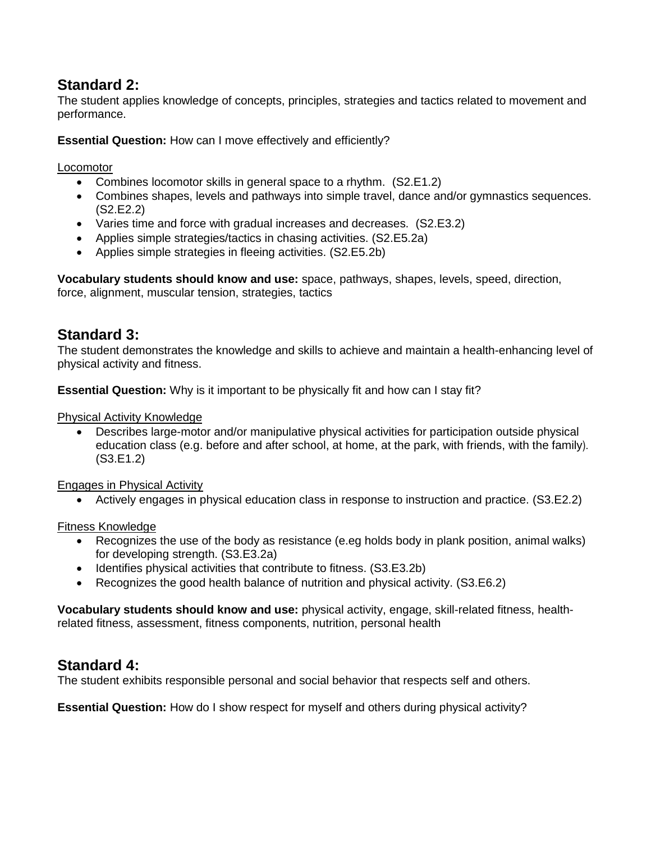## **Standard 2:**

The student applies knowledge of concepts, principles, strategies and tactics related to movement and performance.

**Essential Question:** How can I move effectively and efficiently?

Locomotor

- Combines locomotor skills in general space to a rhythm. (S2.E1.2)
- Combines shapes, levels and pathways into simple travel, dance and/or gymnastics sequences. (S2.E2.2)
- Varies time and force with gradual increases and decreases. (S2.E3.2)
- Applies simple strategies/tactics in chasing activities. (S2.E5.2a)
- Applies simple strategies in fleeing activities. (S2.E5.2b)

**Vocabulary students should know and use:** space, pathways, shapes, levels, speed, direction, force, alignment, muscular tension, strategies, tactics

## **Standard 3:**

The student demonstrates the knowledge and skills to achieve and maintain a health-enhancing level of physical activity and fitness.

**Essential Question:** Why is it important to be physically fit and how can I stay fit?

Physical Activity Knowledge

 Describes large-motor and/or manipulative physical activities for participation outside physical education class (e.g. before and after school, at home, at the park, with friends, with the family). (S3.E1.2)

Engages in Physical Activity

Actively engages in physical education class in response to instruction and practice. (S3.E2.2)

Fitness Knowledge

- Recognizes the use of the body as resistance (e.eg holds body in plank position, animal walks) for developing strength. (S3.E3.2a)
- Identifies physical activities that contribute to fitness. (S3.E3.2b)
- Recognizes the good health balance of nutrition and physical activity. (S3.E6.2)

**Vocabulary students should know and use:** physical activity, engage, skill-related fitness, healthrelated fitness, assessment, fitness components, nutrition, personal health

### **Standard 4:**

The student exhibits responsible personal and social behavior that respects self and others.

**Essential Question:** How do I show respect for myself and others during physical activity?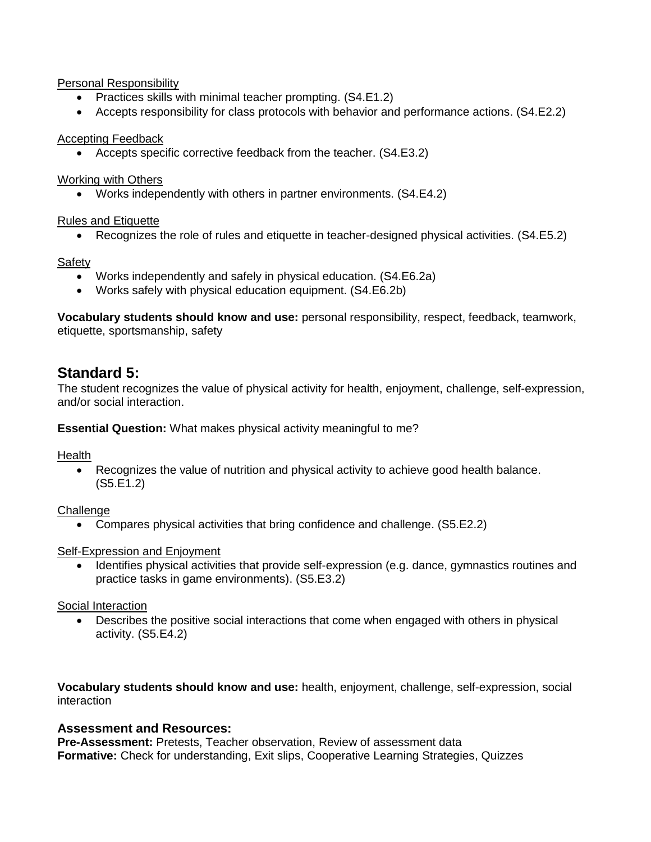#### Personal Responsibility

- Practices skills with minimal teacher prompting. (S4.E1.2)
- Accepts responsibility for class protocols with behavior and performance actions. (S4.E2.2)

#### Accepting Feedback

• Accepts specific corrective feedback from the teacher. (S4.E3.2)

#### Working with Others

Works independently with others in partner environments. (S4.E4.2)

#### Rules and Etiquette

Recognizes the role of rules and etiquette in teacher-designed physical activities. (S4.E5.2)

#### Safety

- Works independently and safely in physical education. (S4.E6.2a)
- Works safely with physical education equipment. (S4.E6.2b)

**Vocabulary students should know and use:** personal responsibility, respect, feedback, teamwork, etiquette, sportsmanship, safety

### **Standard 5:**

The student recognizes the value of physical activity for health, enjoyment, challenge, self-expression, and/or social interaction.

**Essential Question:** What makes physical activity meaningful to me?

Health

 Recognizes the value of nutrition and physical activity to achieve good health balance. (S5.E1.2)

**Challenge** 

Compares physical activities that bring confidence and challenge. (S5.E2.2)

#### Self-Expression and Enjoyment

 Identifies physical activities that provide self-expression (e.g. dance, gymnastics routines and practice tasks in game environments). (S5.E3.2)

#### Social Interaction

 Describes the positive social interactions that come when engaged with others in physical activity. (S5.E4.2)

**Vocabulary students should know and use:** health, enjoyment, challenge, self-expression, social interaction

### **Assessment and Resources:**

**Pre-Assessment:** Pretests, Teacher observation, Review of assessment data **Formative:** Check for understanding, Exit slips, Cooperative Learning Strategies, Quizzes